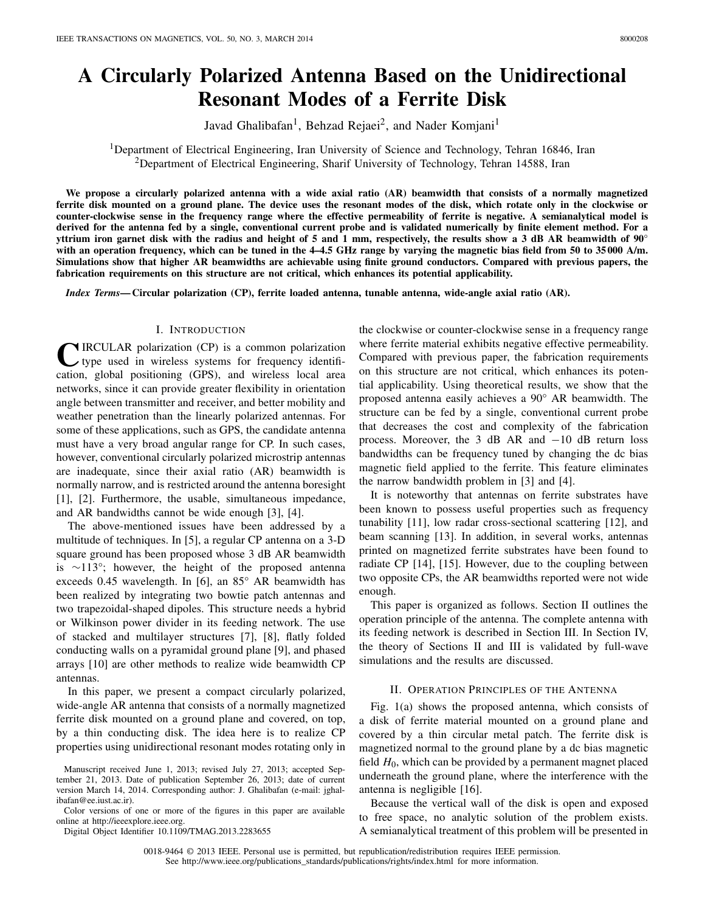# **A Circularly Polarized Antenna Based on the Unidirectional Resonant Modes of a Ferrite Disk**

Javad Ghalibafan<sup>1</sup>, Behzad Rejaei<sup>2</sup>, and Nader Komjani<sup>1</sup>

<sup>1</sup>Department of Electrical Engineering, Iran University of Science and Technology, Tehran 16846, Iran  $2$ Department of Electrical Engineering, Sharif University of Technology, Tehran 14588, Iran

**We propose a circularly polarized antenna with a wide axial ratio (AR) beamwidth that consists of a normally magnetized ferrite disk mounted on a ground plane. The device uses the resonant modes of the disk, which rotate only in the clockwise or counter-clockwise sense in the frequency range where the effective permeability of ferrite is negative. A semianalytical model is derived for the antenna fed by a single, conventional current probe and is validated numerically by finite element method. For a yttrium iron garnet disk with the radius and height of 5 and 1 mm, respectively, the results show a 3 dB AR beamwidth of 90° with an operation frequency, which can be tuned in the 4–4.5 GHz range by varying the magnetic bias field from 50 to 35 000 A/m. Simulations show that higher AR beamwidths are achievable using finite ground conductors. Compared with previous papers, the fabrication requirements on this structure are not critical, which enhances its potential applicability.**

*Index Terms***— Circular polarization (CP), ferrite loaded antenna, tunable antenna, wide-angle axial ratio (AR).**

# I. INTRODUCTION

**C**IRCULAR polarization (CP) is a common polarization type used in wireless systems for frequency identification, global positioning (GPS), and wireless local area networks, since it can provide greater flexibility in orientation angle between transmitter and receiver, and better mobility and weather penetration than the linearly polarized antennas. For some of these applications, such as GPS, the candidate antenna must have a very broad angular range for CP. In such cases, however, conventional circularly polarized microstrip antennas are inadequate, since their axial ratio (AR) beamwidth is normally narrow, and is restricted around the antenna boresight [1], [2]. Furthermore, the usable, simultaneous impedance, and AR bandwidths cannot be wide enough [3], [4].

The above-mentioned issues have been addressed by a multitude of techniques. In [5], a regular CP antenna on a 3-D square ground has been proposed whose 3 dB AR beamwidth is ∼113°; however, the height of the proposed antenna exceeds 0.45 wavelength. In [6], an 85° AR beamwidth has been realized by integrating two bowtie patch antennas and two trapezoidal-shaped dipoles. This structure needs a hybrid or Wilkinson power divider in its feeding network. The use of stacked and multilayer structures [7], [8], flatly folded conducting walls on a pyramidal ground plane [9], and phased arrays [10] are other methods to realize wide beamwidth CP antennas.

In this paper, we present a compact circularly polarized, wide-angle AR antenna that consists of a normally magnetized ferrite disk mounted on a ground plane and covered, on top, by a thin conducting disk. The idea here is to realize CP properties using unidirectional resonant modes rotating only in

Digital Object Identifier 10.1109/TMAG.2013.2283655

the clockwise or counter-clockwise sense in a frequency range where ferrite material exhibits negative effective permeability. Compared with previous paper, the fabrication requirements on this structure are not critical, which enhances its potential applicability. Using theoretical results, we show that the proposed antenna easily achieves a 90° AR beamwidth. The structure can be fed by a single, conventional current probe that decreases the cost and complexity of the fabrication process. Moreover, the 3 dB AR and  $-10$  dB return loss bandwidths can be frequency tuned by changing the dc bias magnetic field applied to the ferrite. This feature eliminates the narrow bandwidth problem in [3] and [4].

It is noteworthy that antennas on ferrite substrates have been known to possess useful properties such as frequency tunability [11], low radar cross-sectional scattering [12], and beam scanning [13]. In addition, in several works, antennas printed on magnetized ferrite substrates have been found to radiate CP [14], [15]. However, due to the coupling between two opposite CPs, the AR beamwidths reported were not wide enough.

This paper is organized as follows. Section II outlines the operation principle of the antenna. The complete antenna with its feeding network is described in Section III. In Section IV, the theory of Sections II and III is validated by full-wave simulations and the results are discussed.

# II. OPERATION PRINCIPLES OF THE ANTENNA

Fig. 1(a) shows the proposed antenna, which consists of a disk of ferrite material mounted on a ground plane and covered by a thin circular metal patch. The ferrite disk is magnetized normal to the ground plane by a dc bias magnetic field *H*0, which can be provided by a permanent magnet placed underneath the ground plane, where the interference with the antenna is negligible [16].

Because the vertical wall of the disk is open and exposed to free space, no analytic solution of the problem exists. A semianalytical treatment of this problem will be presented in

0018-9464 © 2013 IEEE. Personal use is permitted, but republication/redistribution requires IEEE permission. See http://www.ieee.org/publications\_standards/publications/rights/index.html for more information.

Manuscript received June 1, 2013; revised July 27, 2013; accepted September 21, 2013. Date of publication September 26, 2013; date of current version March 14, 2014. Corresponding author: J. Ghalibafan (e-mail: jghalibafan@ee.iust.ac.ir).

Color versions of one or more of the figures in this paper are available online at http://ieeexplore.ieee.org.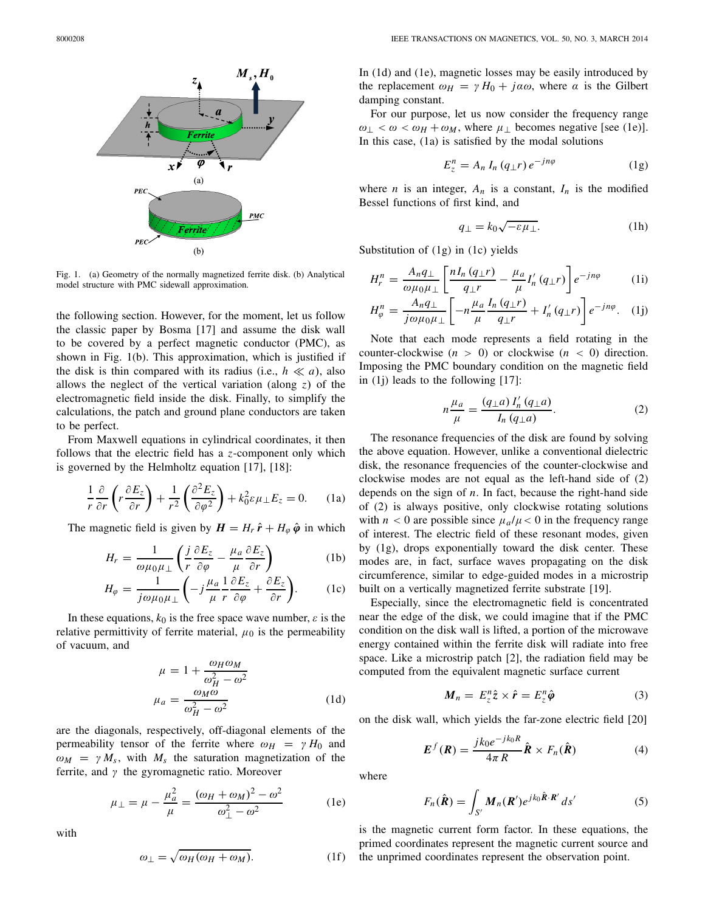

Fig. 1. (a) Geometry of the normally magnetized ferrite disk. (b) Analytical model structure with PMC sidewall approximation.

the following section. However, for the moment, let us follow the classic paper by Bosma [17] and assume the disk wall to be covered by a perfect magnetic conductor (PMC), as shown in Fig. 1(b). This approximation, which is justified if the disk is thin compared with its radius (i.e.,  $h \ll a$ ), also allows the neglect of the vertical variation (along *z*) of the electromagnetic field inside the disk. Finally, to simplify the calculations, the patch and ground plane conductors are taken to be perfect.

From Maxwell equations in cylindrical coordinates, it then follows that the electric field has a *z*-component only which is governed by the Helmholtz equation [17], [18]:

$$
\frac{1}{r}\frac{\partial}{\partial r}\left(r\frac{\partial E_z}{\partial r}\right) + \frac{1}{r^2}\left(\frac{\partial^2 E_z}{\partial \varphi^2}\right) + k_0^2 \varepsilon \mu_\perp E_z = 0. \quad (1a)
$$

The magnetic field is given by  $H = H_r \hat{r} + H_\omega \hat{\varphi}$  in which

$$
H_r = \frac{1}{\omega\mu_0\mu_{\perp}} \left( \frac{j}{r} \frac{\partial E_z}{\partial \varphi} - \frac{\mu_a}{\mu} \frac{\partial E_z}{\partial r} \right)
$$
 (1b)

$$
H_{\varphi} = \frac{1}{j\omega\mu_0\mu_{\perp}} \left( -j\frac{\mu_a}{\mu} \frac{1}{r} \frac{\partial E_z}{\partial \varphi} + \frac{\partial E_z}{\partial r} \right). \tag{1c}
$$

In these equations,  $k_0$  is the free space wave number,  $\varepsilon$  is the relative permittivity of ferrite material,  $\mu_0$  is the permeability of vacuum, and

$$
\mu = 1 + \frac{\omega_H \omega_M}{\omega_H^2 - \omega^2}
$$

$$
\mu_a = \frac{\omega_M \omega}{\omega_H^2 - \omega^2}
$$
(1d)

are the diagonals, respectively, off-diagonal elements of the permeability tensor of the ferrite where  $\omega_H = \gamma H_0$  and  $\omega_M = \gamma M_s$ , with  $M_s$  the saturation magnetization of the ferrite, and  $\gamma$  the gyromagnetic ratio. Moreover

$$
\mu_{\perp} = \mu - \frac{\mu_a^2}{\mu} = \frac{(\omega_H + \omega_M)^2 - \omega^2}{\omega_{\perp}^2 - \omega^2} \tag{1e}
$$

with

$$
\omega_{\perp} = \sqrt{\omega_H (\omega_H + \omega_M)}.
$$
 (1f)

In (1d) and (1e), magnetic losses may be easily introduced by the replacement  $\omega_H = \gamma H_0 + j\alpha\omega$ , where  $\alpha$  is the Gilbert damping constant.

For our purpose, let us now consider the frequency range  $\omega_{\perp} < \omega < \omega_H + \omega_M$ , where  $\mu_{\perp}$  becomes negative [see (1e)]. In this case, (1a) is satisfied by the modal solutions

$$
E_z^n = A_n I_n (q_\perp r) e^{-jn\varphi} \tag{1g}
$$

where *n* is an integer,  $A_n$  is a constant,  $I_n$  is the modified Bessel functions of first kind, and

$$
q_{\perp} = k_0 \sqrt{-\varepsilon \mu_{\perp}}.
$$
 (1h)

Substitution of (1g) in (1c) yields

$$
H_r^n = \frac{A_n q_\perp}{\omega \mu_0 \mu_\perp} \left[ \frac{n I_n (q_\perp r)}{q_\perp r} - \frac{\mu_a}{\mu} I'_n (q_\perp r) \right] e^{-jn\varphi} \tag{1}
$$

$$
H_{\varphi}^{n} = \frac{A_{n}q_{\perp}}{j\omega\mu_{0}\mu_{\perp}} \left[ -n\frac{\mu_{a}}{\mu} \frac{I_{n}\left(q_{\perp}r\right)}{q_{\perp}r} + I_{n}'\left(q_{\perp}r\right) \right] e^{-jn\varphi}. \quad (1j)
$$

Note that each mode represents a field rotating in the counter-clockwise  $(n > 0)$  or clockwise  $(n < 0)$  direction. Imposing the PMC boundary condition on the magnetic field in (1j) leads to the following [17]:

$$
n\frac{\mu_a}{\mu} = \frac{(q_{\perp}a)\,I'_n\,(q_{\perp}a)}{I_n\,(q_{\perp}a)}.\tag{2}
$$

The resonance frequencies of the disk are found by solving the above equation. However, unlike a conventional dielectric disk, the resonance frequencies of the counter-clockwise and clockwise modes are not equal as the left-hand side of (2) depends on the sign of *n*. In fact, because the right-hand side of (2) is always positive, only clockwise rotating solutions with  $n < 0$  are possible since  $\mu_a / \mu < 0$  in the frequency range of interest. The electric field of these resonant modes, given by (1g), drops exponentially toward the disk center. These modes are, in fact, surface waves propagating on the disk circumference, similar to edge-guided modes in a microstrip built on a vertically magnetized ferrite substrate [19].

Especially, since the electromagnetic field is concentrated near the edge of the disk, we could imagine that if the PMC condition on the disk wall is lifted, a portion of the microwave energy contained within the ferrite disk will radiate into free space. Like a microstrip patch [2], the radiation field may be computed from the equivalent magnetic surface current

$$
M_n = E_z^n \hat{z} \times \hat{r} = E_z^n \hat{\varphi}
$$
 (3)

on the disk wall, which yields the far-zone electric field [20]

$$
\boldsymbol{E}^{f}(\boldsymbol{R}) = \frac{j k_0 e^{-j k_0 R}}{4\pi R} \hat{\boldsymbol{R}} \times F_n(\hat{\boldsymbol{R}})
$$
(4)

where

$$
F_n(\hat{\boldsymbol{R}}) = \int_{S'} \boldsymbol{M}_n(\boldsymbol{R}') e^{jk_0 \hat{\boldsymbol{R}} \cdot \boldsymbol{R}'} ds'
$$
 (5)

is the magnetic current form factor. In these equations, the primed coordinates represent the magnetic current source and the unprimed coordinates represent the observation point.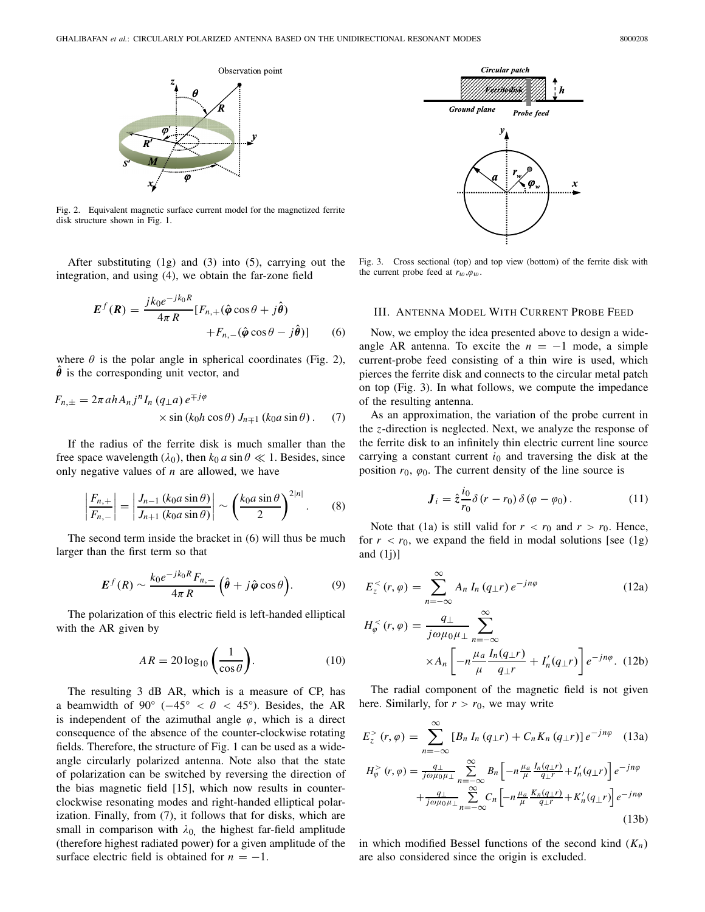

Fig. 2. Equivalent magnetic surface current model for the magnetized ferrite disk structure shown in Fig. 1.

After substituting (1g) and (3) into (5), carrying out the integration, and using (4), we obtain the far-zone field

$$
E^{f}(R) = \frac{j k_0 e^{-j k_0 R}}{4\pi R} [F_{n,+}(\hat{\boldsymbol{\varphi}} \cos \theta + j\hat{\boldsymbol{\theta}}) + F_{n,-}(\hat{\boldsymbol{\varphi}} \cos \theta - j\hat{\boldsymbol{\theta}})]
$$
(6)

where  $\theta$  is the polar angle in spherical coordinates (Fig. 2),  $\theta$  is the corresponding unit vector, and

$$
F_{n,\pm} = 2\pi a h A_n j^n I_n (q_\pm a) e^{\mp j\varphi}
$$
  
 
$$
\times \sin (k_0 h \cos \theta) J_{n\mp 1} (k_0 a \sin \theta).
$$
 (7)

If the radius of the ferrite disk is much smaller than the free space wavelength ( $\lambda_0$ ), then  $k_0 a \sin \theta \ll 1$ . Besides, since only negative values of *n* are allowed, we have

$$
\left|\frac{F_{n,+}}{F_{n,-}}\right| = \left|\frac{J_{n-1}\left(k_0 a \sin \theta\right)}{J_{n+1}\left(k_0 a \sin \theta\right)}\right| \sim \left(\frac{k_0 a \sin \theta}{2}\right)^{2|n|}.\tag{8}
$$

The second term inside the bracket in (6) will thus be much larger than the first term so that

$$
E^{f}(R) \sim \frac{k_0 e^{-jk_0 R} F_{n,-}}{4\pi R} \left(\hat{\theta} + j\hat{\varphi}\cos\theta\right).
$$
 (9)

The polarization of this electric field is left-handed elliptical with the AR given by

$$
AR = 20\log_{10}\left(\frac{1}{\cos\theta}\right). \tag{10}
$$

The resulting 3 dB AR, which is a measure of CP, has a beamwidth of 90° ( $-45^{\circ} < \theta < 45^{\circ}$ ). Besides, the AR is independent of the azimuthal angle  $\varphi$ , which is a direct consequence of the absence of the counter-clockwise rotating fields. Therefore, the structure of Fig. 1 can be used as a wideangle circularly polarized antenna. Note also that the state of polarization can be switched by reversing the direction of the bias magnetic field [15], which now results in counterclockwise resonating modes and right-handed elliptical polarization. Finally, from (7), it follows that for disks, which are small in comparison with  $\lambda_0$ , the highest far-field amplitude (therefore highest radiated power) for a given amplitude of the surface electric field is obtained for  $n = -1$ .



Fig. 3. Cross sectional (top) and top view (bottom) of the ferrite disk with the current probe feed at  $r_w, \varphi_w$ .

### III. ANTENNA MODEL WITH CURRENT PROBE FEED

Now, we employ the idea presented above to design a wideangle AR antenna. To excite the  $n = -1$  mode, a simple current-probe feed consisting of a thin wire is used, which pierces the ferrite disk and connects to the circular metal patch on top (Fig. 3). In what follows, we compute the impedance of the resulting antenna.

As an approximation, the variation of the probe current in the *z*-direction is neglected. Next, we analyze the response of the ferrite disk to an infinitely thin electric current line source carrying a constant current  $i_0$  and traversing the disk at the position  $r_0$ ,  $\varphi_0$ . The current density of the line source is

$$
\mathbf{J}_i = \hat{z} \frac{i_0}{r_0} \delta(r - r_0) \delta(\varphi - \varphi_0). \tag{11}
$$

Note that (1a) is still valid for  $r < r_0$  and  $r > r_0$ . Hence, for  $r < r_0$ , we expand the field in modal solutions [see (1g) and  $(1j)$ ]

$$
E_z^< (r, \varphi) = \sum_{n=-\infty}^{\infty} A_n I_n (q \perp r) e^{-jn\varphi}
$$
 (12a)

$$
H_{\varphi}^{<}(r,\varphi) = \frac{q_{\perp}}{j\omega\mu_0\mu_{\perp}} \sum_{n=-\infty}^{\infty} \times A_n \left[ -n\frac{\mu_a I_n(q_{\perp}r)}{\mu} + I'_n(q_{\perp}r) \right] e^{-jn\varphi} . \tag{12b}
$$

The radial component of the magnetic field is not given here. Similarly, for  $r > r_0$ , we may write

$$
E_z^> (r, \varphi) = \sum_{n=-\infty}^{\infty} [B_n I_n (q_\perp r) + C_n K_n (q_\perp r)] e^{-jn\varphi}
$$
 (13a)

$$
H_{\varphi}^{>}(r,\varphi) = \frac{q_{\perp}}{j\omega\mu_0\mu_{\perp}} \sum_{n=-\infty}^{\infty} B_n \left[ -n\frac{\mu_a}{\mu} \frac{I_n(q_{\perp}r)}{q_{\perp}r} + I'_n(q_{\perp}r) \right] e^{-jn\varphi} + \frac{q_{\perp}}{j\omega\mu_0\mu_{\perp}} \sum_{n=-\infty}^{\infty} C_n \left[ -n\frac{\mu_a}{\mu} \frac{K_n(q_{\perp}r)}{q_{\perp}r} + K'_n(q_{\perp}r) \right] e^{-jn\varphi}
$$
(13b)

in which modified Bessel functions of the second kind (*Kn*) are also considered since the origin is excluded.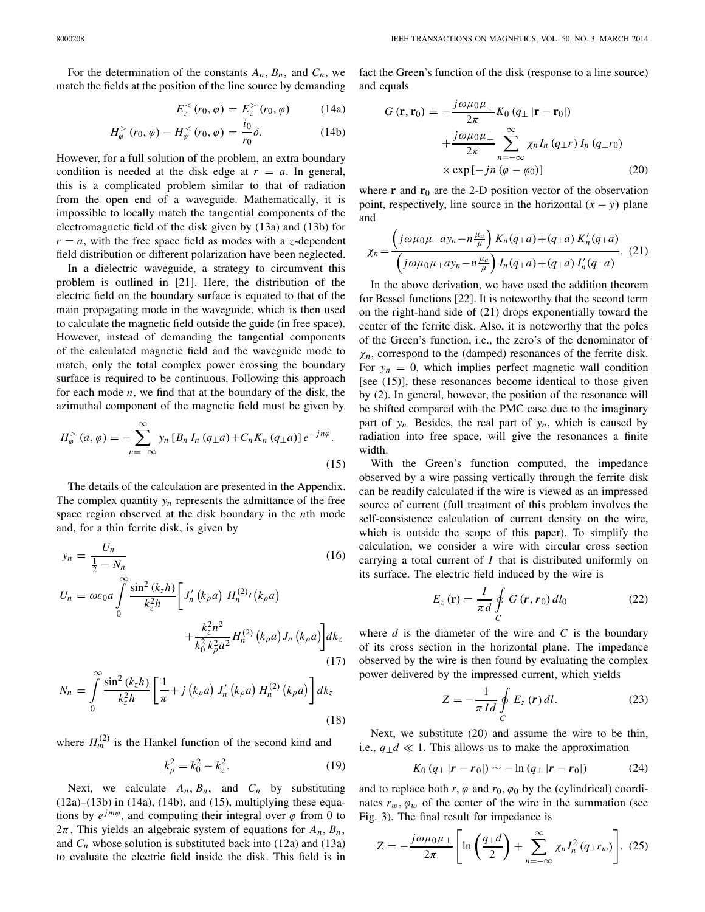For the determination of the constants  $A_n$ ,  $B_n$ , and  $C_n$ , we match the fields at the position of the line source by demanding

$$
E_z^{\lt}(r_0, \varphi) = E_z^{\gt}(r_0, \varphi) \tag{14a}
$$

$$
H_{\varphi}^{>}(r_0, \varphi) - H_{\varphi}^{<}(r_0, \varphi) = \frac{i_0}{r_0} \delta.
$$
 (14b)

However, for a full solution of the problem, an extra boundary condition is needed at the disk edge at  $r = a$ . In general, this is a complicated problem similar to that of radiation from the open end of a waveguide. Mathematically, it is impossible to locally match the tangential components of the electromagnetic field of the disk given by (13a) and (13b) for  $r = a$ , with the free space field as modes with a *z*-dependent field distribution or different polarization have been neglected.

In a dielectric waveguide, a strategy to circumvent this problem is outlined in [21]. Here, the distribution of the electric field on the boundary surface is equated to that of the main propagating mode in the waveguide, which is then used to calculate the magnetic field outside the guide (in free space). However, instead of demanding the tangential components of the calculated magnetic field and the waveguide mode to match, only the total complex power crossing the boundary surface is required to be continuous. Following this approach for each mode *n*, we find that at the boundary of the disk, the azimuthal component of the magnetic field must be given by

$$
H_{\varphi}^{>}\left(a,\varphi\right)=-\sum_{n=-\infty}^{\infty}y_{n}\left[B_{n}I_{n}\left(q_{\perp}a\right)+C_{n}K_{n}\left(q_{\perp}a\right)\right]e^{-jn\varphi}.
$$
\n(15)

The details of the calculation are presented in the Appendix. The complex quantity  $y_n$  represents the admittance of the free space region observed at the disk boundary in the *n*th mode and, for a thin ferrite disk, is given by

$$
y_n = \frac{U_n}{\frac{1}{2} - N_n}
$$
(16)  

$$
U_n = \omega \varepsilon_0 a \int_0^\infty \frac{\sin^2 (k_z h)}{k_z^2 h} \left[ J'_n(k_\rho a) H_n^{(2)}(k_\rho a) + \frac{k_z^2 n^2}{k_0^2 k_\rho^2 a^2} H_n^{(2)}(k_\rho a) J_n(k_\rho a) \right] dk_z
$$
(17)

$$
N_n = \int_0^\infty \frac{\sin^2{(k_z h)}}{k_z^2 h} \left[ \frac{1}{\pi} + j (k_\rho a) J'_n (k_\rho a) H_n^{(2)} (k_\rho a) \right] dk_z
$$
\n(18)

where  $H_m^{(2)}$  is the Hankel function of the second kind and

$$
k_{\rho}^{2} = k_{0}^{2} - k_{z}^{2}.
$$
 (19)

Next, we calculate  $A_n$ ,  $B_n$ , and  $C_n$  by substituting  $(12a)$ – $(13b)$  in  $(14a)$ ,  $(14b)$ , and  $(15)$ , multiplying these equations by  $e^{jm\varphi}$ , and computing their integral over  $\varphi$  from 0 to  $2\pi$ . This yields an algebraic system of equations for  $A_n$ ,  $B_n$ , and  $C_n$  whose solution is substituted back into (12a) and (13a) to evaluate the electric field inside the disk. This field is in fact the Green's function of the disk (response to a line source) and equals

$$
G(\mathbf{r}, \mathbf{r}_0) = -\frac{j\omega\mu_0\mu_\perp}{2\pi} K_0 (q_\perp |\mathbf{r} - \mathbf{r}_0|)
$$
  
 
$$
+ \frac{j\omega\mu_0\mu_\perp}{2\pi} \sum_{n=-\infty}^{\infty} \chi_n I_n (q_\perp r) I_n (q_\perp r_0)
$$
  
 
$$
\times \exp[-jn (\varphi - \varphi_0)] \tag{20}
$$

where  $\bf{r}$  and  $\bf{r}_0$  are the 2-D position vector of the observation point, respectively, line source in the horizontal  $(x - y)$  plane and

$$
\chi_n = \frac{\left(j\omega\mu_0\mu_\perp a y_n - n\frac{\mu_a}{\mu}\right)K_n(q_\perp a) + (q_\perp a)K'_n(q_\perp a)}{\left(j\omega\mu_0\mu_\perp a y_n - n\frac{\mu_a}{\mu}\right)I_n(q_\perp a) + (q_\perp a)I'_n(q_\perp a)}.
$$
 (21)

In the above derivation, we have used the addition theorem for Bessel functions [22]. It is noteworthy that the second term on the right-hand side of (21) drops exponentially toward the center of the ferrite disk. Also, it is noteworthy that the poles of the Green's function, i.e., the zero's of the denominator of  $\chi_n$ , correspond to the (damped) resonances of the ferrite disk. For  $y_n = 0$ , which implies perfect magnetic wall condition [see (15)], these resonances become identical to those given by (2). In general, however, the position of the resonance will be shifted compared with the PMC case due to the imaginary part of  $y_n$ . Besides, the real part of  $y_n$ , which is caused by radiation into free space, will give the resonances a finite width.

With the Green's function computed, the impedance observed by a wire passing vertically through the ferrite disk can be readily calculated if the wire is viewed as an impressed source of current (full treatment of this problem involves the self-consistence calculation of current density on the wire, which is outside the scope of this paper). To simplify the calculation, we consider a wire with circular cross section carrying a total current of *I* that is distributed uniformly on its surface. The electric field induced by the wire is

$$
E_z \left( \mathbf{r} \right) = \frac{I}{\pi d} \oint_C G \left( \mathbf{r}, \mathbf{r}_0 \right) dl_0 \tag{22}
$$

where  $d$  is the diameter of the wire and  $C$  is the boundary of its cross section in the horizontal plane. The impedance observed by the wire is then found by evaluating the complex power delivered by the impressed current, which yields

$$
Z = -\frac{1}{\pi \, Id} \oint_C E_z \left( \mathbf{r} \right) dl. \tag{23}
$$

Next, we substitute (20) and assume the wire to be thin, i.e.,  $q_\perp d \ll 1$ . This allows us to make the approximation

$$
K_0 (q_\perp |\mathbf{r} - \mathbf{r}_0|) \sim -\ln (q_\perp |\mathbf{r} - \mathbf{r}_0|) \tag{24}
$$

and to replace both  $r, \varphi$  and  $r_0, \varphi_0$  by the (cylindrical) coordinates  $r_w$ ,  $\varphi_w$  of the center of the wire in the summation (see Fig. 3). The final result for impedance is

$$
Z = -\frac{j\omega\mu_0\mu_{\perp}}{2\pi} \left[ \ln\left(\frac{q_{\perp}d}{2}\right) + \sum_{n=-\infty}^{\infty} \chi_n I_n^2 \left( q_{\perp} r_w \right) \right]. \tag{25}
$$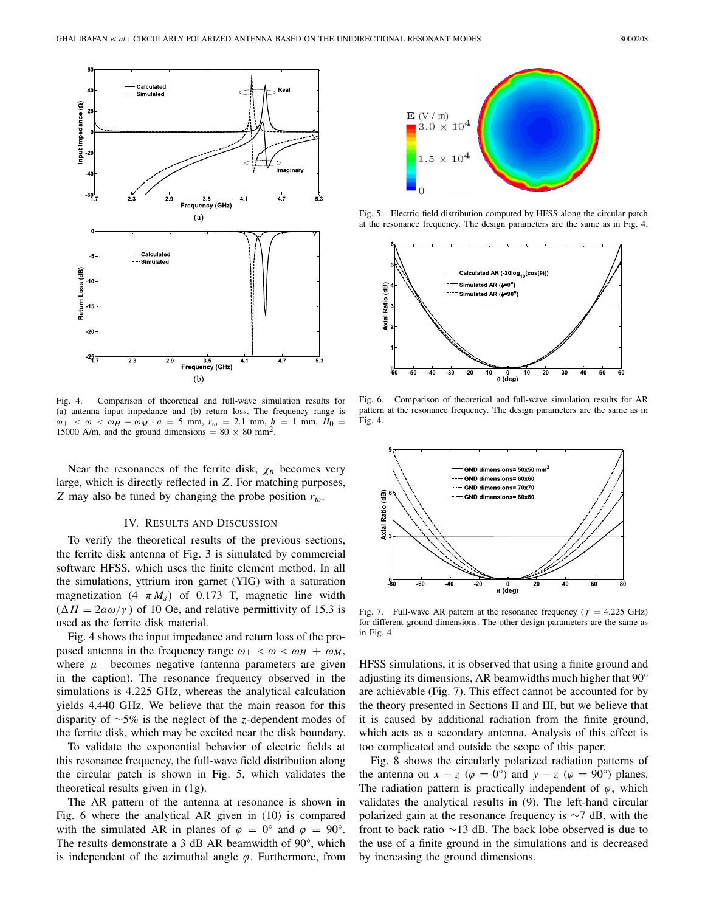

Fig. 4. Comparison of theoretical and full-wave simulation results for (a) antenna input impedance and (b) return loss. The frequency range is  $\omega_{\perp}$  <  $\omega$  <  $\omega_H$  +  $\omega_M \cdot a = 5$  mm,  $r_w = 2.1$  mm,  $h = 1$  mm,  $H_0 =$ 15000 A/m, and the ground dimensions =  $80 \times 80$  mm<sup>2</sup>.

Near the resonances of the ferrite disk,  $\chi_n$  becomes very large, which is directly reflected in *Z*. For matching purposes, *Z* may also be tuned by changing the probe position  $r_w$ .

## IV. RESULTS AND DISCUSSION

To verify the theoretical results of the previous sections, the ferrite disk antenna of Fig. 3 is simulated by commercial software HFSS, which uses the finite element method. In all the simulations, yttrium iron garnet (YIG) with a saturation magnetization  $(4 \pi M_s)$  of 0.173 T, magnetic line width  $(\Delta H = 2a\omega/\gamma)$  of 10 Oe, and relative permittivity of 15.3 is used as the ferrite disk material.

Fig. 4 shows the input impedance and return loss of the proposed antenna in the frequency range  $\omega_{\perp} < \omega < \omega_H + \omega_M$ , where  $\mu_{\perp}$  becomes negative (antenna parameters are given in the caption). The resonance frequency observed in the simulations is 4.225 GHz, whereas the analytical calculation yields 4.440 GHz. We believe that the main reason for this disparity of ∼5% is the neglect of the *z*-dependent modes of the ferrite disk, which may be excited near the disk boundary.

To validate the exponential behavior of electric fields at this resonance frequency, the full-wave field distribution along the circular patch is shown in Fig. 5, which validates the theoretical results given in (1g).

The AR pattern of the antenna at resonance is shown in Fig. 6 where the analytical AR given in (10) is compared with the simulated AR in planes of  $\varphi = 0^{\circ}$  and  $\varphi = 90^{\circ}$ . The results demonstrate a 3 dB AR beamwidth of 90°, which is independent of the azimuthal angle  $\varphi$ . Furthermore, from



Fig. 5. Electric field distribution computed by HFSS along the circular patch at the resonance frequency. The design parameters are the same as in Fig. 4.



Fig. 6. Comparison of theoretical and full-wave simulation results for AR pattern at the resonance frequency. The design parameters are the same as in Fig. 4.



Fig. 7. Full-wave AR pattern at the resonance frequency  $(f = 4.225 \text{ GHz})$ for different ground dimensions. The other design parameters are the same as in Fig. 4.

HFSS simulations, it is observed that using a finite ground and adjusting its dimensions, AR beamwidths much higher that 90° are achievable (Fig. 7). This effect cannot be accounted for by the theory presented in Sections II and III, but we believe that it is caused by additional radiation from the finite ground, which acts as a secondary antenna. Analysis of this effect is too complicated and outside the scope of this paper.

Fig. 8 shows the circularly polarized radiation patterns of the antenna on  $x - z$  ( $\varphi = 0^{\circ}$ ) and  $y - z$  ( $\varphi = 90^{\circ}$ ) planes. The radiation pattern is practically independent of  $\varphi$ , which validates the analytical results in (9). The left-hand circular polarized gain at the resonance frequency is ∼7 dB, with the front to back ratio ∼13 dB. The back lobe observed is due to the use of a finite ground in the simulations and is decreased by increasing the ground dimensions.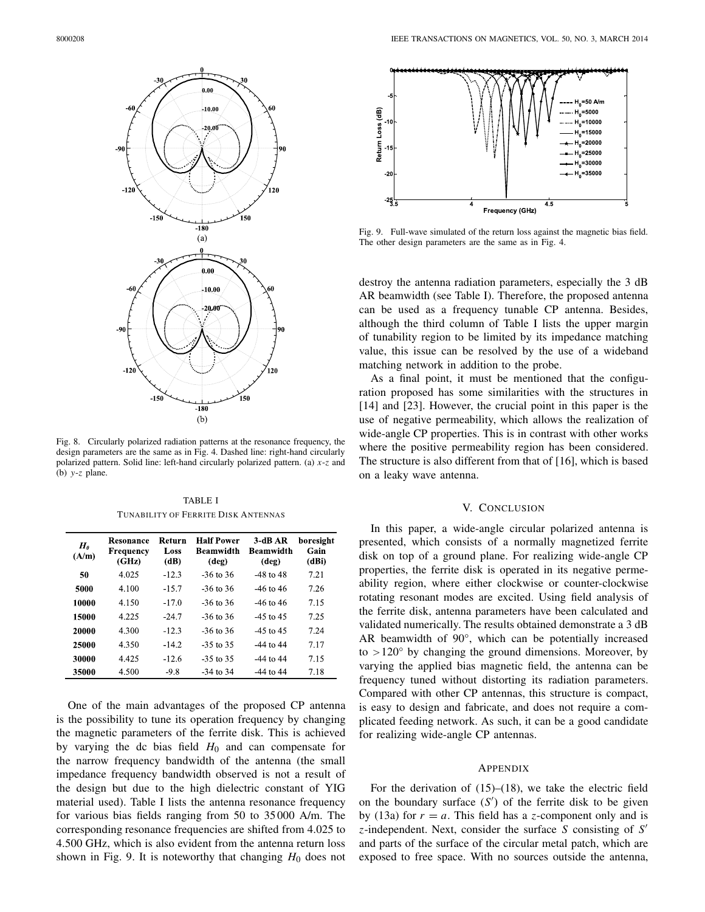

Fig. 8. Circularly polarized radiation patterns at the resonance frequency, the design parameters are the same as in Fig. 4. Dashed line: right-hand circularly polarized pattern. Solid line: left-hand circularly polarized pattern. (a) *x*-*z* and (b) *y*-*z* plane.

TABLE I TUNABILITY OF FERRITE DISK ANTENNAS

| $H_{\theta}$<br>(A/m) | Resonance<br>Frequency<br>(GHz) | Return<br>Loss<br>(dB) | <b>Half Power</b><br><b>Beamwidth</b><br>(deg) | $3-dBAR$<br><b>Beamwidth</b><br>$(\text{deg})$ | boresight<br>Gain<br>(dBi) |
|-----------------------|---------------------------------|------------------------|------------------------------------------------|------------------------------------------------|----------------------------|
| 50                    | 4.025                           | $-12.3$                | $-36$ to 36                                    | $-48$ to $48$                                  | 7.21                       |
| 5000                  | 4.100                           | $-15.7$                | -36 to 36                                      | -46 to 46                                      | 7.26                       |
| 10000                 | 4.150                           | $-17.0$                | -36 to 36                                      | $-46$ to $46$                                  | 7.15                       |
| 15000                 | 4.225                           | $-24.7$                | $-36$ to 36                                    | $-45$ to $45$                                  | 7.25                       |
| 20000                 | 4.300                           | $-12.3$                | -36 to 36                                      | $-45$ to $45$                                  | 7.24                       |
| 25000                 | 4.350                           | $-14.2$                | $-35$ to 35                                    | $-44$ to $44$                                  | 7.17                       |
| 30000                 | 4.425                           | $-12.6$                | $-35$ to 35                                    | $-44$ to $44$                                  | 7.15                       |
| 35000                 | 4.500                           | $-9.8$                 | $-34$ to $34$                                  | $-44$ to $44$                                  | 7.18                       |

One of the main advantages of the proposed CP antenna is the possibility to tune its operation frequency by changing the magnetic parameters of the ferrite disk. This is achieved by varying the dc bias field  $H_0$  and can compensate for the narrow frequency bandwidth of the antenna (the small impedance frequency bandwidth observed is not a result of the design but due to the high dielectric constant of YIG material used). Table I lists the antenna resonance frequency for various bias fields ranging from 50 to 35 000 A/m. The corresponding resonance frequencies are shifted from 4.025 to 4.500 GHz, which is also evident from the antenna return loss shown in Fig. 9. It is noteworthy that changing  $H_0$  does not



Fig. 9. Full-wave simulated of the return loss against the magnetic bias field. The other design parameters are the same as in Fig. 4.

destroy the antenna radiation parameters, especially the 3 dB AR beamwidth (see Table I). Therefore, the proposed antenna can be used as a frequency tunable CP antenna. Besides, although the third column of Table I lists the upper margin of tunability region to be limited by its impedance matching value, this issue can be resolved by the use of a wideband matching network in addition to the probe.

As a final point, it must be mentioned that the configuration proposed has some similarities with the structures in [14] and [23]. However, the crucial point in this paper is the use of negative permeability, which allows the realization of wide-angle CP properties. This is in contrast with other works where the positive permeability region has been considered. The structure is also different from that of [16], which is based on a leaky wave antenna.

## V. CONCLUSION

In this paper, a wide-angle circular polarized antenna is presented, which consists of a normally magnetized ferrite disk on top of a ground plane. For realizing wide-angle CP properties, the ferrite disk is operated in its negative permeability region, where either clockwise or counter-clockwise rotating resonant modes are excited. Using field analysis of the ferrite disk, antenna parameters have been calculated and validated numerically. The results obtained demonstrate a 3 dB AR beamwidth of 90°, which can be potentially increased to  $>120^\circ$  by changing the ground dimensions. Moreover, by varying the applied bias magnetic field, the antenna can be frequency tuned without distorting its radiation parameters. Compared with other CP antennas, this structure is compact, is easy to design and fabricate, and does not require a complicated feeding network. As such, it can be a good candidate for realizing wide-angle CP antennas.

#### APPENDIX

For the derivation of  $(15)$ – $(18)$ , we take the electric field on the boundary surface  $(S')$  of the ferrite disk to be given by (13a) for  $r = a$ . This field has a *z*-component only and is *z*-independent. Next, consider the surface *S* consisting of *S* and parts of the surface of the circular metal patch, which are exposed to free space. With no sources outside the antenna,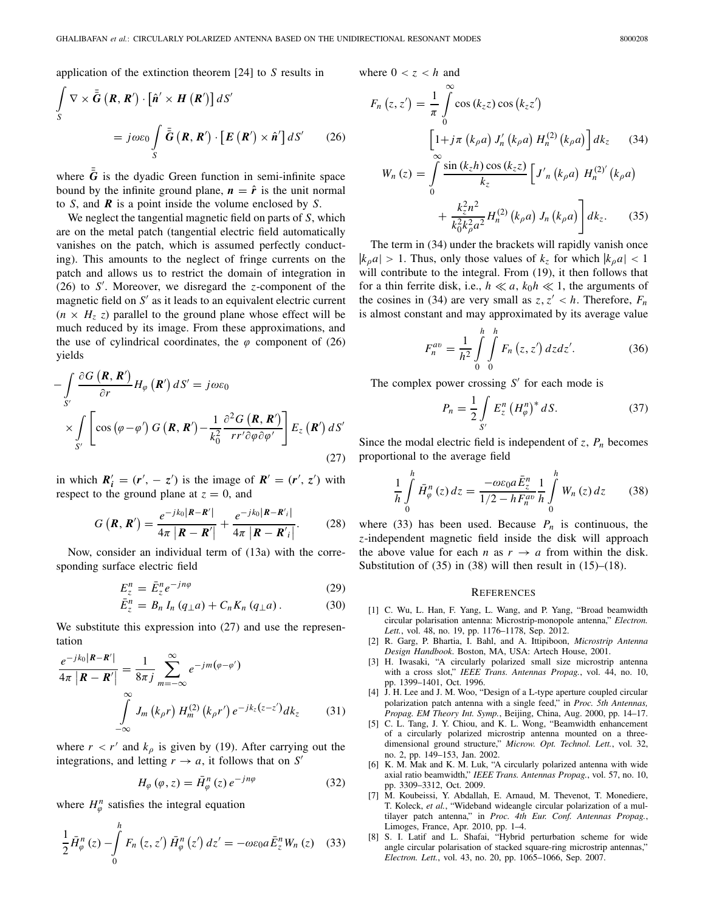application of the extinction theorem [24] to *S* results in

$$
\int_{S} \nabla \times \bar{\bar{G}} \left( \boldsymbol{R}, \boldsymbol{R}' \right) \cdot \left[ \hat{\boldsymbol{n}}' \times \boldsymbol{H} \left( \boldsymbol{R}' \right) \right] dS'
$$
\n
$$
= j \omega \varepsilon_0 \int_{S} \bar{\bar{G}} \left( \boldsymbol{R}, \boldsymbol{R}' \right) \cdot \left[ \boldsymbol{E} \left( \boldsymbol{R}' \right) \times \hat{\boldsymbol{n}}' \right] dS' \qquad (26)
$$

where  $\bar{G}$  is the dyadic Green function in semi-infinite space bound by the infinite ground plane,  $n = \hat{r}$  is the unit normal to *S*, and *R* is a point inside the volume enclosed by *S*.

We neglect the tangential magnetic field on parts of *S*, which are on the metal patch (tangential electric field automatically vanishes on the patch, which is assumed perfectly conducting). This amounts to the neglect of fringe currents on the patch and allows us to restrict the domain of integration in (26) to *S* . Moreover, we disregard the *z*-component of the magnetic field on  $S'$  as it leads to an equivalent electric current  $(n \times H_z z)$  parallel to the ground plane whose effect will be much reduced by its image. From these approximations, and the use of cylindrical coordinates, the  $\varphi$  component of (26) yields

$$
-\int_{S'} \frac{\partial G\left(\mathbf{R}, \mathbf{R}'\right)}{\partial r} H_{\varphi}\left(\mathbf{R}'\right) dS' = j\omega\varepsilon_{0}
$$
  
 
$$
\times \int_{S'} \left[\cos\left(\varphi - \varphi'\right) G\left(\mathbf{R}, \mathbf{R}'\right) - \frac{1}{k_{0}^{2}} \frac{\partial^{2} G\left(\mathbf{R}, \mathbf{R}'\right)}{r r' \partial \varphi \partial \varphi'}\right] E_{z}\left(\mathbf{R}'\right) dS'
$$
(27)

in which  $R'_i = (r', -z')$  is the image of  $R' = (r', z')$  with respect to the ground plane at  $z = 0$ , and

$$
G\left(\boldsymbol{R},\boldsymbol{R}'\right)=\frac{e^{-jk_0\left|\boldsymbol{R}-\boldsymbol{R}'\right|}}{4\pi\left|\boldsymbol{R}-\boldsymbol{R}'\right|}+\frac{e^{-jk_0\left|\boldsymbol{R}-\boldsymbol{R}'_i\right|}}{4\pi\left|\boldsymbol{R}-\boldsymbol{R}'_i\right|}.
$$
 (28)

Now, consider an individual term of (13a) with the corresponding surface electric field

$$
E_z^n = \bar{E}_z^n e^{-jn\varphi}
$$
 (29)  
\n
$$
\bar{F}_z^n = R I (a_1 a) + C K (a_2 a)
$$
 (30)

$$
\bar{E}_z^n = B_n I_n (q_\perp a) + C_n K_n (q_\perp a). \tag{30}
$$

We substitute this expression into  $(27)$  and use the representation

$$
\frac{e^{-jk_0|\mathbf{R}-\mathbf{R}'|}}{4\pi |\mathbf{R}-\mathbf{R}'|} = \frac{1}{8\pi j} \sum_{m=-\infty}^{\infty} e^{-jm(\varphi-\varphi')}
$$

$$
\int_{-\infty}^{\infty} J_m(k_{\rho}r) H_m^{(2)}(k_{\rho}r') e^{-jk_z(z-z')} dk_z
$$
(31)

where  $r < r'$  and  $k_{\rho}$  is given by (19). After carrying out the integrations, and letting  $r \rightarrow a$ , it follows that on  $S'$ 

$$
H_{\varphi}(\varphi, z) = \bar{H}_{\varphi}^{n}(z) e^{-jn\varphi}
$$
 (32)

where  $H_{\varphi}^{n}$  satisfies the integral equation

$$
\frac{1}{2}\bar{H}_{\varphi}^{n}\left(z\right)-\int\limits_{0}^{h}F_{n}\left(z,z'\right)\bar{H}_{\varphi}^{n}\left(z'\right)dz'=-\omega\varepsilon_{0}a\bar{E}_{z}^{n}W_{n}\left(z\right)\quad(33)
$$

where  $0 < z < h$  and

$$
F_n(z, z') = \frac{1}{\pi} \int_0^\infty \cos(k_z z) \cos(k_z z')
$$
  
\n
$$
\left[1 + j\pi (k_\rho a) J'_n(k_\rho a) H_n^{(2)}(k_\rho a)\right] dk_z
$$
(34)  
\n
$$
W_n(z) = \int_0^\infty \frac{\sin(k_z h) \cos(k_z z)}{k_z} \left[J'_n(k_\rho a) H_n^{(2)'}(k_\rho a)\right] + \frac{k_z^2 n^2}{k_0^2 k_\rho^2 a^2} H_n^{(2)}(k_\rho a) J_n(k_\rho a) \left] dk_z.
$$
(35)

The term in (34) under the brackets will rapidly vanish once  $|k_\rho a| > 1$ . Thus, only those values of  $k_z$  for which  $|k_\rho a| < 1$ will contribute to the integral. From  $(19)$ , it then follows that for a thin ferrite disk, i.e.,  $h \ll a$ ,  $k_0 h \ll 1$ , the arguments of the cosines in (34) are very small as  $z, z' < h$ . Therefore,  $F_n$ is almost constant and may approximated by its average value

$$
F_n^{av} = \frac{1}{h^2} \int_0^h \int_0^h F_n(z, z') \, dz \, dz'.
$$
 (36)

The complex power crossing  $S'$  for each mode is

$$
P_n = \frac{1}{2} \int\limits_{S'} E_z^n \left( H_\varphi^n \right)^* dS. \tag{37}
$$

Since the modal electric field is independent of  $z$ ,  $P_n$  becomes proportional to the average field

$$
\frac{1}{h} \int_{0}^{h} \bar{H}_{\varphi}^{n}(z) dz = \frac{-\omega \varepsilon_{0} a \bar{E}_{z}^{n}}{1/2 - h F_{n}^{av}} \frac{1}{h} \int_{0}^{h} W_{n}(z) dz \qquad (38)
$$

where (33) has been used. Because  $P_n$  is continuous, the *z*-independent magnetic field inside the disk will approach the above value for each *n* as  $r \rightarrow a$  from within the disk. Substitution of  $(35)$  in  $(38)$  will then result in  $(15)$ – $(18)$ .

### **REFERENCES**

- [1] C. Wu, L. Han, F. Yang, L. Wang, and P. Yang, "Broad beamwidth circular polarisation antenna: Microstrip-monopole antenna," *Electron. Lett.*, vol. 48, no. 19, pp. 1176–1178, Sep. 2012.
- [2] R. Garg, P. Bhartia, I. Bahl, and A. Ittipiboon, *Microstrip Antenna Design Handbook*. Boston, MA, USA: Artech House, 2001.
- [3] H. Iwasaki, "A circularly polarized small size microstrip antenna with a cross slot," *IEEE Trans. Antennas Propag.*, vol. 44, no. 10, pp. 1399–1401, Oct. 1996.
- [4] J. H. Lee and J. M. Woo, "Design of a L-type aperture coupled circular polarization patch antenna with a single feed," in *Proc. 5th Antennas, Propag. EM Theory Int. Symp.*, Beijing, China, Aug. 2000, pp. 14–17.
- [5] C. L. Tang, J. Y. Chiou, and K. L. Wong, "Beamwidth enhancement of a circularly polarized microstrip antenna mounted on a threedimensional ground structure," *Microw. Opt. Technol. Lett.*, vol. 32, no. 2, pp. 149–153, Jan. 2002.
- [6] K. M. Mak and K. M. Luk, "A circularly polarized antenna with wide axial ratio beamwidth," *IEEE Trans. Antennas Propag.*, vol. 57, no. 10, pp. 3309–3312, Oct. 2009.
- [7] M. Koubeissi, Y. Abdallah, E. Arnaud, M. Thevenot, T. Monediere, T. Koleck, *et al.*, "Wideband wideangle circular polarization of a multilayer patch antenna," in *Proc. 4th Eur. Conf. Antennas Propag.*, Limoges, France, Apr. 2010, pp. 1–4.
- [8] S. I. Latif and L. Shafai, "Hybrid perturbation scheme for wide angle circular polarisation of stacked square-ring microstrip antennas," *Electron. Lett.*, vol. 43, no. 20, pp. 1065–1066, Sep. 2007.